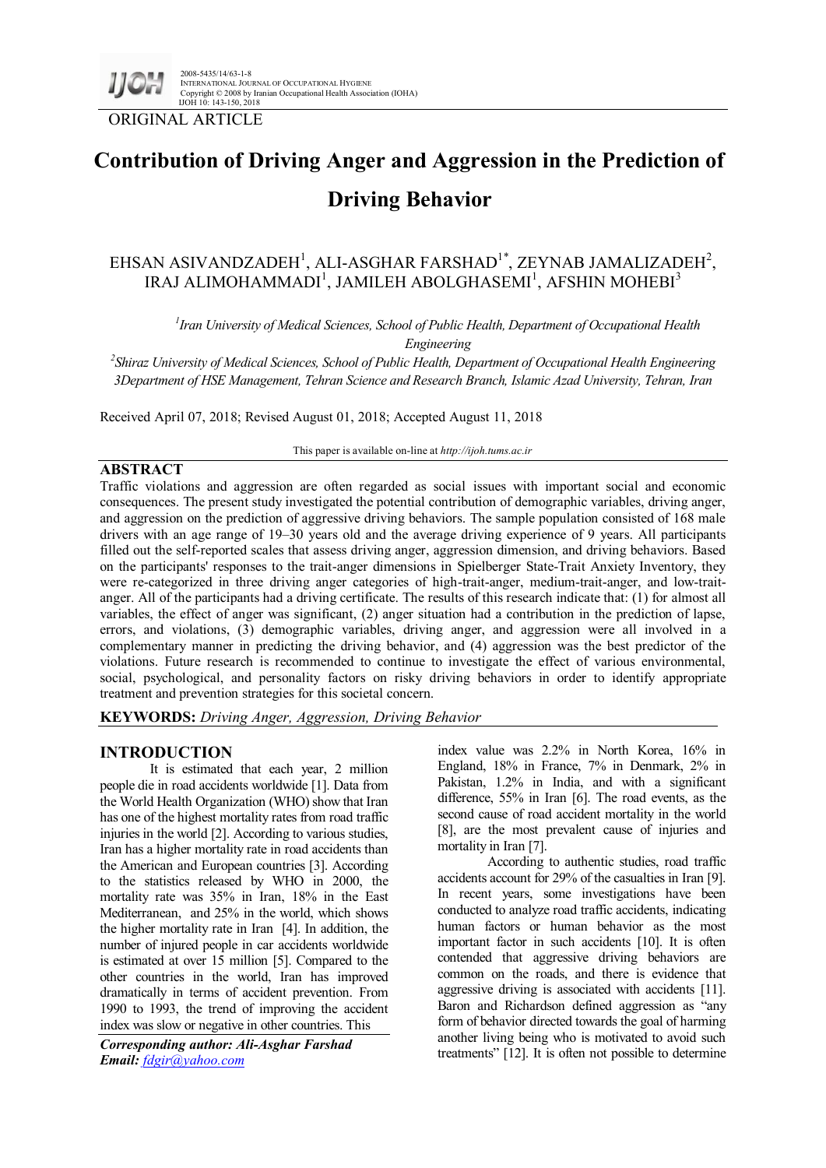

2008-5435/14/63-1-8 INTERNATIONAL JOURNAL OF OCCUPATIONAL HYGIENE Copyright © 2008 by Iranian Occupational Health Association (IOHA) IJOH 10: 143-150, 2018

ORIGINAL ARTICLE

# **Contribution of Driving Anger and Aggression in the Prediction of Driving Behavior**

# EHSAN ASIVANDZADEH<sup>1</sup>, ALI-ASGHAR FARSHAD<sup>1\*</sup>, ZEYNAB JAMALIZADEH<sup>2</sup>, IRAJ ALIMOHAMMADI<sup>1</sup>, JAMILEH ABOLGHASEMI<sup>1</sup>, AFSHIN MOHEBI<sup>3</sup>

*1 Iran University of Medical Sciences, School of Public Health, Department of Occupational Health Engineering*

*2 Shiraz University of Medical Sciences, School of Public Health, Department of Occupational Health Engineering 3Department of HSE Management, Tehran Science and Research Branch, Islamic Azad University, Tehran, Iran*

Received April 07, 2018; Revised August 01, 2018; Accepted August 11, 2018

# **ABSTRACT**

This paper is available on-line at *http://ijoh.tums.ac.ir*

Traffic violations and aggression are often regarded as social issues with important social and economic consequences. The present study investigated the potential contribution of demographic variables, driving anger, and aggression on the prediction of aggressive driving behaviors. The sample population consisted of 168 male drivers with an age range of 19–30 years old and the average driving experience of 9 years. All participants filled out the self-reported scales that assess driving anger, aggression dimension, and driving behaviors. Based on the participants' responses to the trait-anger dimensions in Spielberger State-Trait Anxiety Inventory, they were re-categorized in three driving anger categories of high-trait-anger, medium-trait-anger, and low-traitanger. All of the participants had a driving certificate. The results of this research indicate that: (1) for almost all variables, the effect of anger was significant, (2) anger situation had a contribution in the prediction of lapse, errors, and violations, (3) demographic variables, driving anger, and aggression were all involved in a complementary manner in predicting the driving behavior, and (4) aggression was the best predictor of the violations. Future research is recommended to continue to investigate the effect of various environmental, social, psychological, and personality factors on risky driving behaviors in order to identify appropriate treatment and prevention strategies for this societal concern.

**KEYWORDS:** *Driving Anger, Aggression, Driving Behavior*

# **INTRODUCTION**

It is estimated that each year, 2 million people die in road accidents worldwide [1]. Data from the World Health Organization (WHO) show that Iran has one of the highest mortality rates from road traffic injuries in the world [2]. According to various studies, Iran has a higher mortality rate in road accidents than the American and European countries [3]. According to the statistics released by WHO in 2000, the mortality rate was 35% in Iran, 18% in the East Mediterranean, and 25% in the world, which shows the higher mortality rate in Iran [4]. In addition, the number of injured people in car accidents worldwide is estimated at over 15 million [5]. Compared to the other countries in the world, Iran has improved dramatically in terms of accident prevention. From 1990 to 1993, the trend of improving the accident index was slow or negative in other countries. This

*Corresponding author: Ali-Asghar Farshad Email: [fdgir@yahoo.com](mailto:fdgir@yahoo.com)*

index value was 2.2% in North Korea, 16% in England, 18% in France, 7% in Denmark, 2% in Pakistan, 1.2% in India, and with a significant difference, 55% in Iran [6]. The road events, as the second cause of road accident mortality in the world [8], are the most prevalent cause of injuries and mortality in Iran [7].

According to authentic studies, road traffic accidents account for 29% of the casualties in Iran [9]. In recent years, some investigations have been conducted to analyze road traffic accidents, indicating human factors or human behavior as the most important factor in such accidents [10]. It is often contended that aggressive driving behaviors are common on the roads, and there is evidence that aggressive driving is associated with accidents [11]. Baron and Richardson defined aggression as "any form of behavior directed towards the goal of harming another living being who is motivated to avoid such treatments" [12]. It is often not possible to determine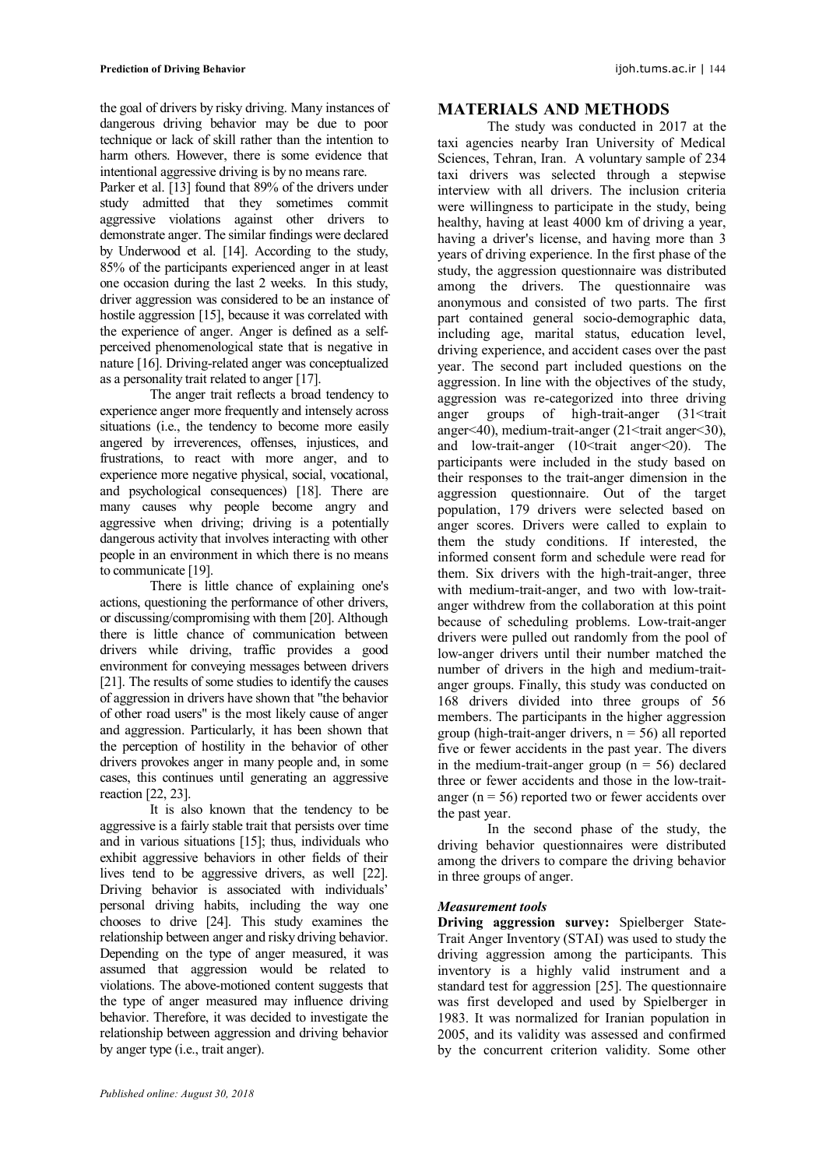the goal of drivers by risky driving. Many instances of dangerous driving behavior may be due to poor technique or lack of skill rather than the intention to harm others. However, there is some evidence that intentional aggressive driving is by no means rare.

Parker et al. [13] found that 89% of the drivers under study admitted that they sometimes commit aggressive violations against other drivers to demonstrate anger. The similar findings were declared by Underwood et al. [14]. According to the study, 85% of the participants experienced anger in at least one occasion during the last 2 weeks. In this study, driver aggression was considered to be an instance of hostile aggression [15], because it was correlated with the experience of anger. Anger is defined as a selfperceived phenomenological state that is negative in nature [16]. Driving-related anger was conceptualized as a personality trait related to anger [17].

The anger trait reflects a broad tendency to experience anger more frequently and intensely across situations (i.e., the tendency to become more easily angered by irreverences, offenses, injustices, and frustrations, to react with more anger, and to experience more negative physical, social, vocational, and psychological consequences) [18]. There are many causes why people become angry and aggressive when driving; driving is a potentially dangerous activity that involves interacting with other people in an environment in which there is no means to communicate [19].

There is little chance of explaining one's actions, questioning the performance of other drivers, or discussing/compromising with them [20]. Although there is little chance of communication between drivers while driving, traffic provides a good environment for conveying messages between drivers [21]. The results of some studies to identify the causes of aggression in drivers have shown that "the behavior of other road users" is the most likely cause of anger and aggression. Particularly, it has been shown that the perception of hostility in the behavior of other drivers provokes anger in many people and, in some cases, this continues until generating an aggressive reaction [22, 23].

It is also known that the tendency to be aggressive is a fairly stable trait that persists over time and in various situations [15]; thus, individuals who exhibit aggressive behaviors in other fields of their lives tend to be aggressive drivers, as well [22]. Driving behavior is associated with individuals' personal driving habits, including the way one chooses to drive [24]. This study examines the relationship between anger and risky driving behavior. Depending on the type of anger measured, it was assumed that aggression would be related to violations. The above-motioned content suggests that the type of anger measured may influence driving behavior. Therefore, it was decided to investigate the relationship between aggression and driving behavior by anger type (i.e., trait anger).

# **MATERIALS AND METHODS**

The study was conducted in 2017 at the taxi agencies nearby Iran University of Medical Sciences, Tehran, Iran. A voluntary sample of 234 taxi drivers was selected through a stepwise interview with all drivers. The inclusion criteria were willingness to participate in the study, being healthy, having at least 4000 km of driving a year, having a driver's license, and having more than 3 years of driving experience. In the first phase of the study, the aggression questionnaire was distributed among the drivers. The questionnaire was anonymous and consisted of two parts. The first part contained general socio-demographic data, including age, marital status, education level, driving experience, and accident cases over the past year. The second part included questions on the aggression. In line with the objectives of the study, aggression was re-categorized into three driving anger groups of high-trait-anger (31<trait anger<40), medium-trait-anger  $(21 \leq \text{train anger} \leq 30)$ , and low-trait-anger  $(10<$ trait anger $\leq$ 20). The participants were included in the study based on their responses to the trait-anger dimension in the aggression questionnaire. Out of the target population, 179 drivers were selected based on anger scores. Drivers were called to explain to them the study conditions. If interested, the informed consent form and schedule were read for them. Six drivers with the high-trait-anger, three with medium-trait-anger, and two with low-traitanger withdrew from the collaboration at this point because of scheduling problems. Low-trait-anger drivers were pulled out randomly from the pool of low-anger drivers until their number matched the number of drivers in the high and medium-traitanger groups. Finally, this study was conducted on 168 drivers divided into three groups of 56 members. The participants in the higher aggression group (high-trait-anger drivers,  $n = 56$ ) all reported five or fewer accidents in the past year. The divers in the medium-trait-anger group ( $n = 56$ ) declared three or fewer accidents and those in the low-traitanger ( $n = 56$ ) reported two or fewer accidents over the past year.

In the second phase of the study, the driving behavior questionnaires were distributed among the drivers to compare the driving behavior in three groups of anger.

## *Measurement tools*

**Driving aggression survey:** Spielberger State-Trait Anger Inventory (STAI) was used to study the driving aggression among the participants. This inventory is a highly valid instrument and a standard test for aggression [25]. The questionnaire was first developed and used by Spielberger in 1983. It was normalized for Iranian population in 2005, and its validity was assessed and confirmed by the concurrent criterion validity. Some other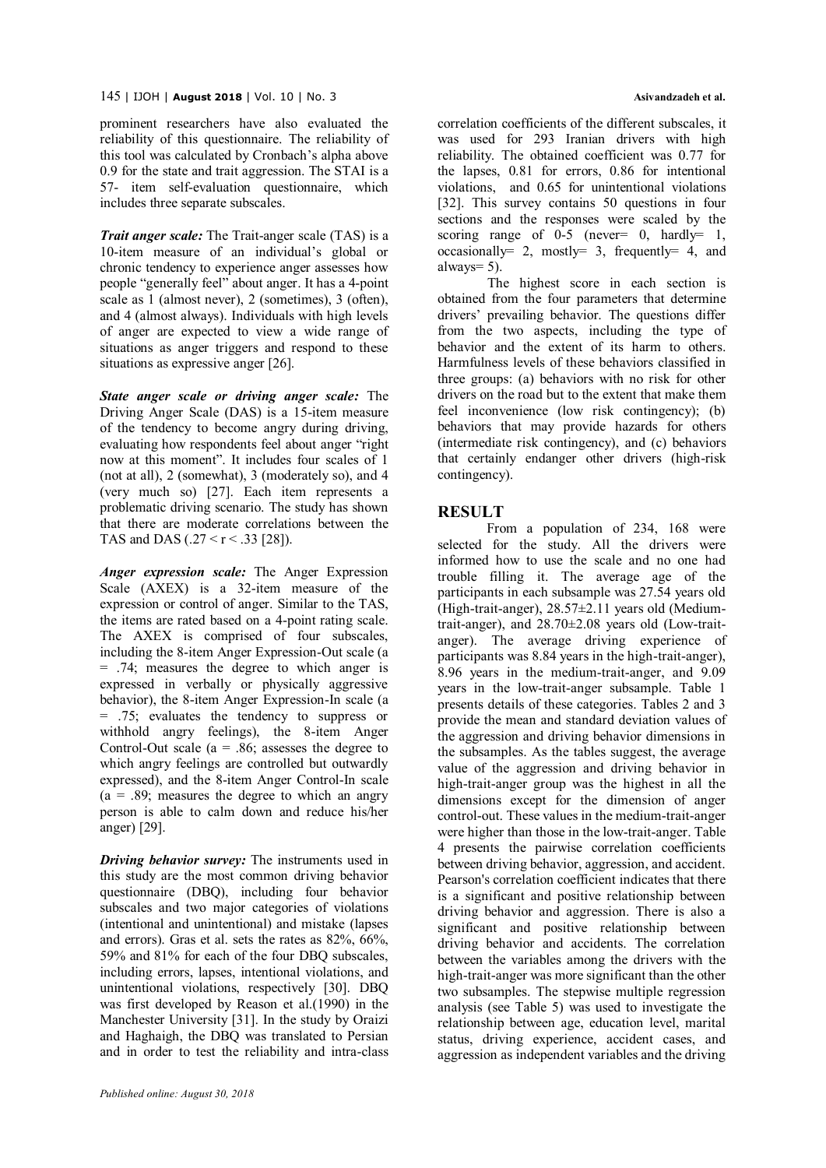prominent researchers have also evaluated the reliability of this questionnaire. The reliability of this tool was calculated by Cronbach's alpha above 0.9 for the state and trait aggression. The STAI is a 57- item self-evaluation questionnaire, which includes three separate subscales.

*Trait anger scale:* The Trait-anger scale (TAS) is a 10-item measure of an individual's global or chronic tendency to experience anger assesses how people "generally feel" about anger. It has a 4-point scale as 1 (almost never), 2 (sometimes), 3 (often), and 4 (almost always). Individuals with high levels of anger are expected to view a wide range of situations as anger triggers and respond to these situations as expressive anger [26].

*State anger scale or driving anger scale:* The Driving Anger Scale (DAS) is a 15-item measure of the tendency to become angry during driving, evaluating how respondents feel about anger "right now at this moment". It includes four scales of 1 (not at all), 2 (somewhat), 3 (moderately so), and 4 (very much so) [27]. Each item represents a problematic driving scenario. The study has shown that there are moderate correlations between the TAS and DAS ( $.27 < r < .33$  [28]).

*Anger expression scale:* The Anger Expression Scale (AXEX) is a 32-item measure of the expression or control of anger. Similar to the TAS, the items are rated based on a 4-point rating scale. The AXEX is comprised of four subscales, including the 8-item Anger Expression-Out scale (a  $= .74$ ; measures the degree to which anger is expressed in verbally or physically aggressive behavior), the 8-item Anger Expression-In scale (a = .75; evaluates the tendency to suppress or withhold angry feelings), the 8-item Anger Control-Out scale ( $a = .86$ ; assesses the degree to which angry feelings are controlled but outwardly expressed), and the 8-item Anger Control-In scale  $(a = .89)$ ; measures the degree to which an angry person is able to calm down and reduce his/her anger) [29].

*Driving behavior survey:* The instruments used in this study are the most common driving behavior questionnaire (DBQ), including four behavior subscales and two major categories of violations (intentional and unintentional) and mistake (lapses and errors). Gras et al. sets the rates as 82%, 66%, 59% and 81% for each of the four DBQ subscales, including errors, lapses, intentional violations, and unintentional violations, respectively [30]. DBQ was first developed by Reason et al.(1990) in the Manchester University [31]. In the study by Oraizi and Haghaigh, the DBQ was translated to Persian and in order to test the reliability and intra-class correlation coefficients of the different subscales, it was used for 293 Iranian drivers with high reliability. The obtained coefficient was 0.77 for the lapses, 0.81 for errors, 0.86 for intentional violations, and 0.65 for unintentional violations [32]. This survey contains 50 questions in four sections and the responses were scaled by the scoring range of  $0-5$  (never= 0, hardly= 1, occasionally= 2, mostly= 3, frequently= 4, and always=  $5$ ).

The highest score in each section is obtained from the four parameters that determine drivers' prevailing behavior. The questions differ from the two aspects, including the type of behavior and the extent of its harm to others. Harmfulness levels of these behaviors classified in three groups: (a) behaviors with no risk for other drivers on the road but to the extent that make them feel inconvenience (low risk contingency); (b) behaviors that may provide hazards for others (intermediate risk contingency), and (c) behaviors that certainly endanger other drivers (high-risk contingency).

# **RESULT**

From a population of 234, 168 were selected for the study. All the drivers were informed how to use the scale and no one had trouble filling it. The average age of the participants in each subsample was 27.54 years old (High-trait-anger), 28.57±2.11 years old (Mediumtrait-anger), and 28.70±2.08 years old (Low-traitanger). The average driving experience of participants was 8.84 years in the high-trait-anger), 8.96 years in the medium-trait-anger, and 9.09 years in the low-trait-anger subsample. Table 1 presents details of these categories. Tables 2 and 3 provide the mean and standard deviation values of the aggression and driving behavior dimensions in the subsamples. As the tables suggest, the average value of the aggression and driving behavior in high-trait-anger group was the highest in all the dimensions except for the dimension of anger control-out. These values in the medium-trait-anger were higher than those in the low-trait-anger. Table 4 presents the pairwise correlation coefficients between driving behavior, aggression, and accident. Pearson's correlation coefficient indicates that there is a significant and positive relationship between driving behavior and aggression. There is also a significant and positive relationship between driving behavior and accidents. The correlation between the variables among the drivers with the high-trait-anger was more significant than the other two subsamples. The stepwise multiple regression analysis (see Table 5) was used to investigate the relationship between age, education level, marital status, driving experience, accident cases, and aggression as independent variables and the driving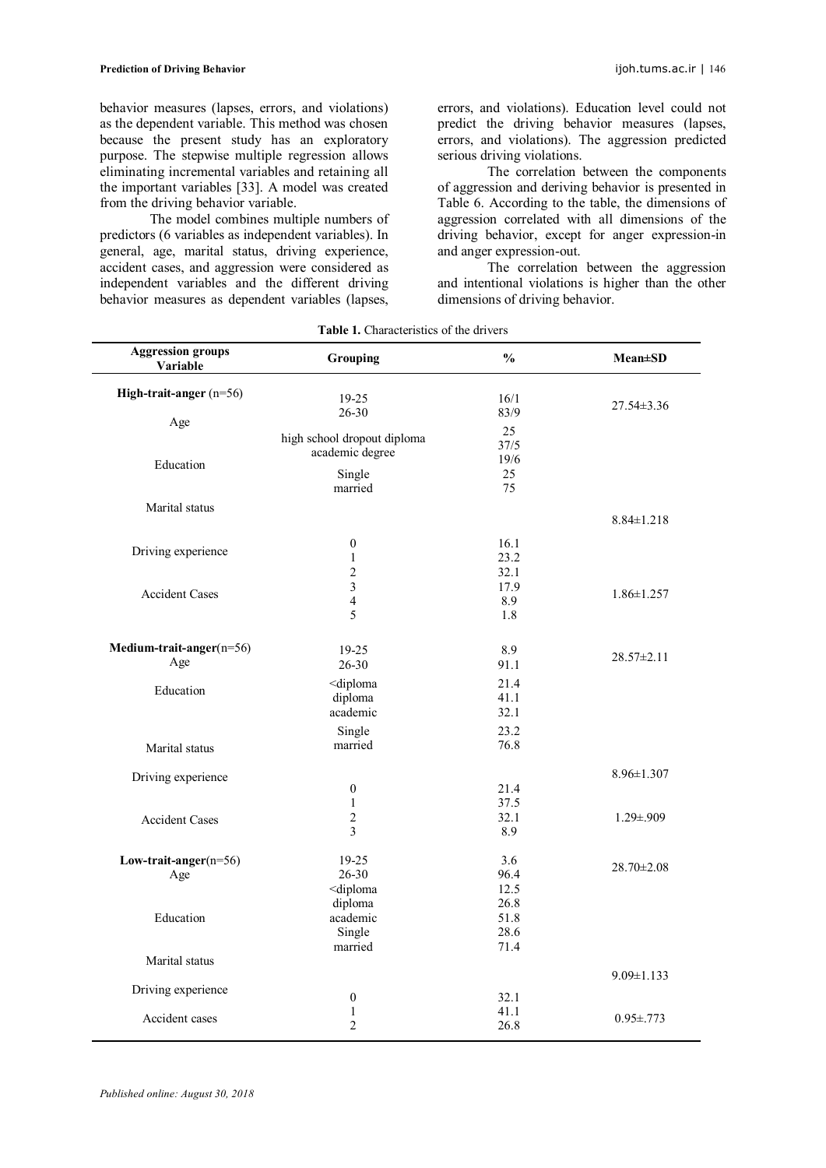behavior measures (lapses, errors, and violations) as the dependent variable. This method was chosen because the present study has an exploratory purpose. The stepwise multiple regression allows eliminating incremental variables and retaining all the important variables [33]. A model was created from the driving behavior variable.

The model combines multiple numbers of predictors (6 variables as independent variables). In general, age, marital status, driving experience, accident cases, and aggression were considered as independent variables and the different driving behavior measures as dependent variables (lapses,

errors, and violations). Education level could not predict the driving behavior measures (lapses, errors, and violations). The aggression predicted serious driving violations.

The correlation between the components of aggression and deriving behavior is presented in Table 6. According to the table, the dimensions of aggression correlated with all dimensions of the driving behavior, except for anger expression-in and anger expression-out.

The correlation between the aggression and intentional violations is higher than the other dimensions of driving behavior.

| Variable<br>High-trait-anger $(n=56)$<br>19-25<br>16/1<br>$27.54 \pm 3.36$<br>$26 - 30$<br>83/9<br>Age<br>25<br>high school dropout diploma<br>37/5<br>academic degree<br>19/6<br>Education<br>Single<br>25<br>75<br>married<br>Marital status<br>$8.84 \pm 1.218$<br>16.1<br>$\boldsymbol{0}$<br>Driving experience<br>23.2<br>$\mathbf{1}$<br>$\overline{2}$<br>32.1<br>$\overline{3}$<br>17.9<br><b>Accident Cases</b><br>$1.86 \pm 1.257$<br>$\overline{4}$<br>8.9<br>5<br>1.8<br>Medium-trait-anger(n=56)<br>19-25<br>8.9<br>$28.57 \pm 2.11$<br>Age<br>$26 - 30$<br>91.1<br><diploma<br>21.4<br/>Education<br/>diploma<br/>41.1<br/>academic<br/>32.1<br/>23.2<br/>Single<br/>76.8<br/>married<br/>Marital status<br/><math>8.96 \pm 1.307</math><br/>Driving experience<br/>21.4<br/><math>\boldsymbol{0}</math><br/><math>\mathbf{1}</math><br/>37.5<br/><math>\overline{2}</math><br/>32.1<br/><math>1.29 \pm .909</math><br/><b>Accident Cases</b><br/>3<br/>8.9<br/>19-25<br/>3.6<br/>Low-trait-anger<math>(n=56)</math><br/><math>28.70 \pm 2.08</math><br/><math>26 - 30</math><br/>96.4<br/>Age<br/>12.5<br/><diploma<br>26.8<br/>diploma<br/>Education<br/>51.8<br/>academic<br/>28.6<br/>Single<br/>married<br/>71.4<br/>Marital status<br/><math>9.09 \pm 1.133</math><br/>Driving experience<br/><math>\boldsymbol{0}</math><br/>32.1<br/><math>\mathbf{1}</math><br/>41.1<br/>Accident cases<br/><math>0.95 \pm 0.773</math><br/><math>\overline{2}</math><br/>26.8</diploma<br></diploma<br> | <b>Aggression groups</b><br>Grouping |  | $\frac{0}{0}$ | <b>Mean±SD</b> |  |
|------------------------------------------------------------------------------------------------------------------------------------------------------------------------------------------------------------------------------------------------------------------------------------------------------------------------------------------------------------------------------------------------------------------------------------------------------------------------------------------------------------------------------------------------------------------------------------------------------------------------------------------------------------------------------------------------------------------------------------------------------------------------------------------------------------------------------------------------------------------------------------------------------------------------------------------------------------------------------------------------------------------------------------------------------------------------------------------------------------------------------------------------------------------------------------------------------------------------------------------------------------------------------------------------------------------------------------------------------------------------------------------------------------------------------------------------------------------------------------------------------------------|--------------------------------------|--|---------------|----------------|--|
|                                                                                                                                                                                                                                                                                                                                                                                                                                                                                                                                                                                                                                                                                                                                                                                                                                                                                                                                                                                                                                                                                                                                                                                                                                                                                                                                                                                                                                                                                                                  |                                      |  |               |                |  |
|                                                                                                                                                                                                                                                                                                                                                                                                                                                                                                                                                                                                                                                                                                                                                                                                                                                                                                                                                                                                                                                                                                                                                                                                                                                                                                                                                                                                                                                                                                                  |                                      |  |               |                |  |
|                                                                                                                                                                                                                                                                                                                                                                                                                                                                                                                                                                                                                                                                                                                                                                                                                                                                                                                                                                                                                                                                                                                                                                                                                                                                                                                                                                                                                                                                                                                  |                                      |  |               |                |  |
|                                                                                                                                                                                                                                                                                                                                                                                                                                                                                                                                                                                                                                                                                                                                                                                                                                                                                                                                                                                                                                                                                                                                                                                                                                                                                                                                                                                                                                                                                                                  |                                      |  |               |                |  |
|                                                                                                                                                                                                                                                                                                                                                                                                                                                                                                                                                                                                                                                                                                                                                                                                                                                                                                                                                                                                                                                                                                                                                                                                                                                                                                                                                                                                                                                                                                                  |                                      |  |               |                |  |
|                                                                                                                                                                                                                                                                                                                                                                                                                                                                                                                                                                                                                                                                                                                                                                                                                                                                                                                                                                                                                                                                                                                                                                                                                                                                                                                                                                                                                                                                                                                  |                                      |  |               |                |  |
|                                                                                                                                                                                                                                                                                                                                                                                                                                                                                                                                                                                                                                                                                                                                                                                                                                                                                                                                                                                                                                                                                                                                                                                                                                                                                                                                                                                                                                                                                                                  |                                      |  |               |                |  |
|                                                                                                                                                                                                                                                                                                                                                                                                                                                                                                                                                                                                                                                                                                                                                                                                                                                                                                                                                                                                                                                                                                                                                                                                                                                                                                                                                                                                                                                                                                                  |                                      |  |               |                |  |
|                                                                                                                                                                                                                                                                                                                                                                                                                                                                                                                                                                                                                                                                                                                                                                                                                                                                                                                                                                                                                                                                                                                                                                                                                                                                                                                                                                                                                                                                                                                  |                                      |  |               |                |  |
|                                                                                                                                                                                                                                                                                                                                                                                                                                                                                                                                                                                                                                                                                                                                                                                                                                                                                                                                                                                                                                                                                                                                                                                                                                                                                                                                                                                                                                                                                                                  |                                      |  |               |                |  |
|                                                                                                                                                                                                                                                                                                                                                                                                                                                                                                                                                                                                                                                                                                                                                                                                                                                                                                                                                                                                                                                                                                                                                                                                                                                                                                                                                                                                                                                                                                                  |                                      |  |               |                |  |
|                                                                                                                                                                                                                                                                                                                                                                                                                                                                                                                                                                                                                                                                                                                                                                                                                                                                                                                                                                                                                                                                                                                                                                                                                                                                                                                                                                                                                                                                                                                  |                                      |  |               |                |  |
|                                                                                                                                                                                                                                                                                                                                                                                                                                                                                                                                                                                                                                                                                                                                                                                                                                                                                                                                                                                                                                                                                                                                                                                                                                                                                                                                                                                                                                                                                                                  |                                      |  |               |                |  |
|                                                                                                                                                                                                                                                                                                                                                                                                                                                                                                                                                                                                                                                                                                                                                                                                                                                                                                                                                                                                                                                                                                                                                                                                                                                                                                                                                                                                                                                                                                                  |                                      |  |               |                |  |
|                                                                                                                                                                                                                                                                                                                                                                                                                                                                                                                                                                                                                                                                                                                                                                                                                                                                                                                                                                                                                                                                                                                                                                                                                                                                                                                                                                                                                                                                                                                  |                                      |  |               |                |  |
|                                                                                                                                                                                                                                                                                                                                                                                                                                                                                                                                                                                                                                                                                                                                                                                                                                                                                                                                                                                                                                                                                                                                                                                                                                                                                                                                                                                                                                                                                                                  |                                      |  |               |                |  |
|                                                                                                                                                                                                                                                                                                                                                                                                                                                                                                                                                                                                                                                                                                                                                                                                                                                                                                                                                                                                                                                                                                                                                                                                                                                                                                                                                                                                                                                                                                                  |                                      |  |               |                |  |
|                                                                                                                                                                                                                                                                                                                                                                                                                                                                                                                                                                                                                                                                                                                                                                                                                                                                                                                                                                                                                                                                                                                                                                                                                                                                                                                                                                                                                                                                                                                  |                                      |  |               |                |  |
|                                                                                                                                                                                                                                                                                                                                                                                                                                                                                                                                                                                                                                                                                                                                                                                                                                                                                                                                                                                                                                                                                                                                                                                                                                                                                                                                                                                                                                                                                                                  |                                      |  |               |                |  |
|                                                                                                                                                                                                                                                                                                                                                                                                                                                                                                                                                                                                                                                                                                                                                                                                                                                                                                                                                                                                                                                                                                                                                                                                                                                                                                                                                                                                                                                                                                                  |                                      |  |               |                |  |
|                                                                                                                                                                                                                                                                                                                                                                                                                                                                                                                                                                                                                                                                                                                                                                                                                                                                                                                                                                                                                                                                                                                                                                                                                                                                                                                                                                                                                                                                                                                  |                                      |  |               |                |  |
|                                                                                                                                                                                                                                                                                                                                                                                                                                                                                                                                                                                                                                                                                                                                                                                                                                                                                                                                                                                                                                                                                                                                                                                                                                                                                                                                                                                                                                                                                                                  |                                      |  |               |                |  |
|                                                                                                                                                                                                                                                                                                                                                                                                                                                                                                                                                                                                                                                                                                                                                                                                                                                                                                                                                                                                                                                                                                                                                                                                                                                                                                                                                                                                                                                                                                                  |                                      |  |               |                |  |
|                                                                                                                                                                                                                                                                                                                                                                                                                                                                                                                                                                                                                                                                                                                                                                                                                                                                                                                                                                                                                                                                                                                                                                                                                                                                                                                                                                                                                                                                                                                  |                                      |  |               |                |  |
|                                                                                                                                                                                                                                                                                                                                                                                                                                                                                                                                                                                                                                                                                                                                                                                                                                                                                                                                                                                                                                                                                                                                                                                                                                                                                                                                                                                                                                                                                                                  |                                      |  |               |                |  |
|                                                                                                                                                                                                                                                                                                                                                                                                                                                                                                                                                                                                                                                                                                                                                                                                                                                                                                                                                                                                                                                                                                                                                                                                                                                                                                                                                                                                                                                                                                                  |                                      |  |               |                |  |
|                                                                                                                                                                                                                                                                                                                                                                                                                                                                                                                                                                                                                                                                                                                                                                                                                                                                                                                                                                                                                                                                                                                                                                                                                                                                                                                                                                                                                                                                                                                  |                                      |  |               |                |  |
|                                                                                                                                                                                                                                                                                                                                                                                                                                                                                                                                                                                                                                                                                                                                                                                                                                                                                                                                                                                                                                                                                                                                                                                                                                                                                                                                                                                                                                                                                                                  |                                      |  |               |                |  |
|                                                                                                                                                                                                                                                                                                                                                                                                                                                                                                                                                                                                                                                                                                                                                                                                                                                                                                                                                                                                                                                                                                                                                                                                                                                                                                                                                                                                                                                                                                                  |                                      |  |               |                |  |
|                                                                                                                                                                                                                                                                                                                                                                                                                                                                                                                                                                                                                                                                                                                                                                                                                                                                                                                                                                                                                                                                                                                                                                                                                                                                                                                                                                                                                                                                                                                  |                                      |  |               |                |  |
|                                                                                                                                                                                                                                                                                                                                                                                                                                                                                                                                                                                                                                                                                                                                                                                                                                                                                                                                                                                                                                                                                                                                                                                                                                                                                                                                                                                                                                                                                                                  |                                      |  |               |                |  |
|                                                                                                                                                                                                                                                                                                                                                                                                                                                                                                                                                                                                                                                                                                                                                                                                                                                                                                                                                                                                                                                                                                                                                                                                                                                                                                                                                                                                                                                                                                                  |                                      |  |               |                |  |
|                                                                                                                                                                                                                                                                                                                                                                                                                                                                                                                                                                                                                                                                                                                                                                                                                                                                                                                                                                                                                                                                                                                                                                                                                                                                                                                                                                                                                                                                                                                  |                                      |  |               |                |  |
|                                                                                                                                                                                                                                                                                                                                                                                                                                                                                                                                                                                                                                                                                                                                                                                                                                                                                                                                                                                                                                                                                                                                                                                                                                                                                                                                                                                                                                                                                                                  |                                      |  |               |                |  |
|                                                                                                                                                                                                                                                                                                                                                                                                                                                                                                                                                                                                                                                                                                                                                                                                                                                                                                                                                                                                                                                                                                                                                                                                                                                                                                                                                                                                                                                                                                                  |                                      |  |               |                |  |
|                                                                                                                                                                                                                                                                                                                                                                                                                                                                                                                                                                                                                                                                                                                                                                                                                                                                                                                                                                                                                                                                                                                                                                                                                                                                                                                                                                                                                                                                                                                  |                                      |  |               |                |  |
|                                                                                                                                                                                                                                                                                                                                                                                                                                                                                                                                                                                                                                                                                                                                                                                                                                                                                                                                                                                                                                                                                                                                                                                                                                                                                                                                                                                                                                                                                                                  |                                      |  |               |                |  |
|                                                                                                                                                                                                                                                                                                                                                                                                                                                                                                                                                                                                                                                                                                                                                                                                                                                                                                                                                                                                                                                                                                                                                                                                                                                                                                                                                                                                                                                                                                                  |                                      |  |               |                |  |
|                                                                                                                                                                                                                                                                                                                                                                                                                                                                                                                                                                                                                                                                                                                                                                                                                                                                                                                                                                                                                                                                                                                                                                                                                                                                                                                                                                                                                                                                                                                  |                                      |  |               |                |  |
|                                                                                                                                                                                                                                                                                                                                                                                                                                                                                                                                                                                                                                                                                                                                                                                                                                                                                                                                                                                                                                                                                                                                                                                                                                                                                                                                                                                                                                                                                                                  |                                      |  |               |                |  |
|                                                                                                                                                                                                                                                                                                                                                                                                                                                                                                                                                                                                                                                                                                                                                                                                                                                                                                                                                                                                                                                                                                                                                                                                                                                                                                                                                                                                                                                                                                                  |                                      |  |               |                |  |
|                                                                                                                                                                                                                                                                                                                                                                                                                                                                                                                                                                                                                                                                                                                                                                                                                                                                                                                                                                                                                                                                                                                                                                                                                                                                                                                                                                                                                                                                                                                  |                                      |  |               |                |  |
|                                                                                                                                                                                                                                                                                                                                                                                                                                                                                                                                                                                                                                                                                                                                                                                                                                                                                                                                                                                                                                                                                                                                                                                                                                                                                                                                                                                                                                                                                                                  |                                      |  |               |                |  |
|                                                                                                                                                                                                                                                                                                                                                                                                                                                                                                                                                                                                                                                                                                                                                                                                                                                                                                                                                                                                                                                                                                                                                                                                                                                                                                                                                                                                                                                                                                                  |                                      |  |               |                |  |
|                                                                                                                                                                                                                                                                                                                                                                                                                                                                                                                                                                                                                                                                                                                                                                                                                                                                                                                                                                                                                                                                                                                                                                                                                                                                                                                                                                                                                                                                                                                  |                                      |  |               |                |  |

**Table 1.** Characteristics of the drivers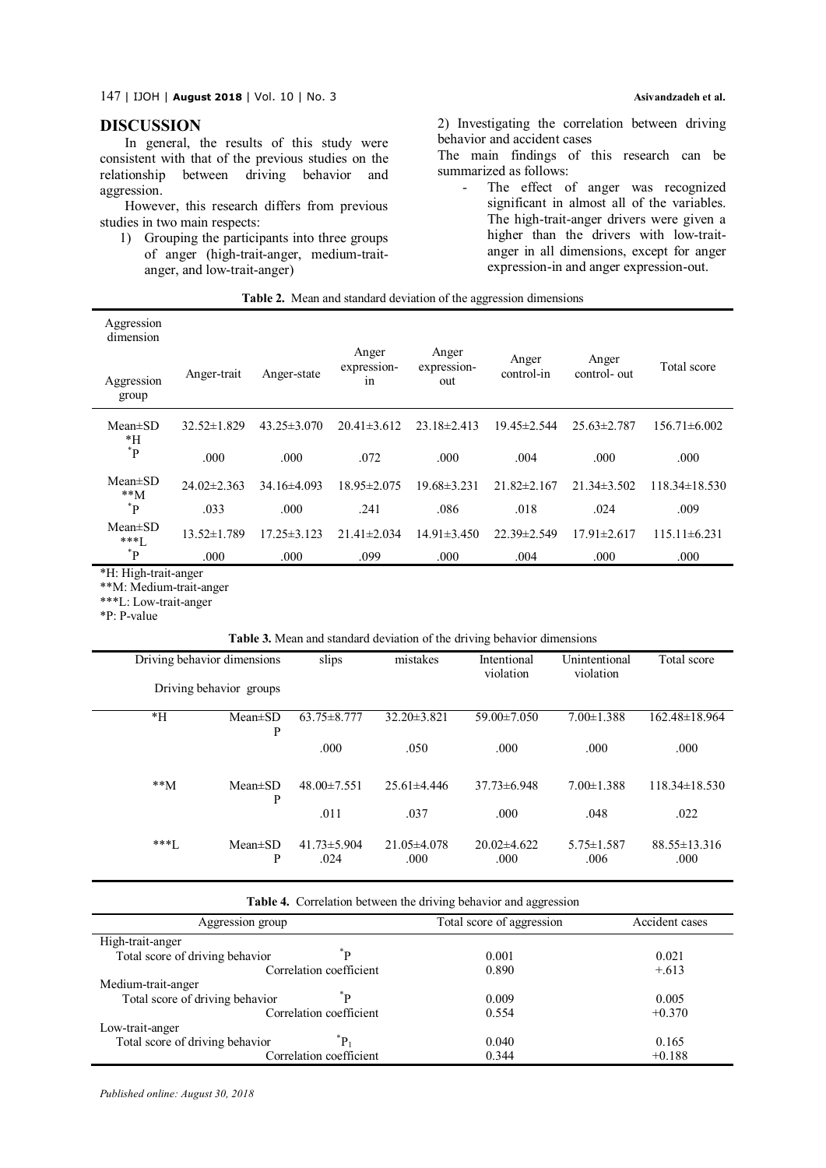147 | IJOH | **August <sup>2018</sup>**| Vol. 10 | No. 3 **Asivandzadeh et al.**

# **DISCUSSION**

In general, the results of this study were consistent with that of the previous studies on the relationship between driving behavior and aggression.

However, this research differs from previous studies in two main respects:

1) Grouping the participants into three groups of anger (high-trait-anger, medium-traitanger, and low-trait-anger)

2) Investigating the correlation between driving behavior and accident cases

The main findings of this research can be summarized as follows:

- The effect of anger was recognized significant in almost all of the variables. The high-trait-anger drivers were given a higher than the drivers with low-traitanger in all dimensions, except for anger expression-in and anger expression-out.

| Table 2. Mean and standard deviation of the aggression dimensions |  |
|-------------------------------------------------------------------|--|
|-------------------------------------------------------------------|--|

| Aggression<br>dimension |                   |                   |                            |                             |                     |                       |                     |
|-------------------------|-------------------|-------------------|----------------------------|-----------------------------|---------------------|-----------------------|---------------------|
| Aggression<br>group     | Anger-trait       | Anger-state       | Anger<br>expression-<br>1n | Anger<br>expression-<br>out | Anger<br>control-in | Anger<br>control- out | Total score         |
| $Mean \pm SD$<br>*H     | $32.52 \pm 1.829$ | $43.25 \pm 3.070$ | $20.41\pm3.612$            | $23.18 \pm 2.413$           | $19.45 \pm 2.544$   | $25.63 \pm 2.787$     | $156.71\pm 6.002$   |
| $\mathbf{q}^*$          | .000              | .000              | .072                       | .000                        | .004                | .000                  | .000                |
| $Mean \pm SD$<br>$**M$  | $24.02 \pm 2.363$ | 34.16±4.093       | $18.95 \pm 2.075$          | 19.68±3.231                 | $21.82 \pm 2.167$   | $21.34\pm3.502$       | $118.34 \pm 18.530$ |
| $^*$ P                  | .033              | .000              | .241                       | .086                        | .018                | .024                  | .009                |
| $Mean \pm SD$<br>$***1$ | $13.52 \pm 1.789$ | $17.25 \pm 3.123$ | $21.41 \pm 2.034$          | $14.91 \pm 3.450$           | 22.39±2.549         | $17.91 \pm 2.617$     | $115.11\pm 6.231$   |
| $^\ast \mathrm{P}$      | .000              | .000              | .099                       | .000                        | .004                | .000                  | .000                |

\*H: High-trait-anger

\*\*M: Medium-trait-anger

\*\*\*L: Low-trait-anger

\*P: P-value

## **Table 3.** Mean and standard deviation of the driving behavior dimensions

| Driving behavior dimensions<br>Driving behavior groups |                    | slips                     | mistakes                | Intentional<br>violation | Unintentional<br>violation | Total score                |
|--------------------------------------------------------|--------------------|---------------------------|-------------------------|--------------------------|----------------------------|----------------------------|
| $*H$                                                   | $Mean \pm SD$<br>P | $63.75 \pm 8.777$         | $32.20 \pm 3.821$       | $59.00 \pm 7.050$        | $7.00 \pm 1.388$           | $162.48 \pm 18.964$        |
|                                                        |                    | .000                      | .050                    | .000                     | .000                       | .000                       |
| $**M$                                                  | $Mean \pm SD$<br>P | $48.00 \pm 7.551$         | $25.61 \pm 4.446$       | $37.73\pm 6.948$         | $7.00 \pm 1.388$           | $118.34\pm18.530$          |
|                                                        |                    | .011                      | .037                    | .000                     | .048                       | .022                       |
| ***∐                                                   | $Mean \pm SD$<br>P | $41.73 \pm 5.904$<br>.024 | $21.05\pm4.078$<br>.000 | $20.02\pm4.622$<br>.000  | $5.75 \pm 1.587$<br>.006   | $88.55 \pm 13.316$<br>.000 |

**Table 4.** Correlation between the driving behavior and aggression

| Aggression group                       | Total score of aggression | Accident cases |  |
|----------------------------------------|---------------------------|----------------|--|
| High-trait-anger                       |                           |                |  |
| ®™<br>Total score of driving behavior  | 0.001                     | 0.021          |  |
| Correlation coefficient                | 0.890                     | $+.613$        |  |
| Medium-trait-anger                     |                           |                |  |
| "D<br>Total score of driving behavior  | 0.009                     | 0.005          |  |
| Correlation coefficient                | 0.554                     | $+0.370$       |  |
| Low-trait-anger                        |                           |                |  |
| Total score of driving behavior<br>ïр, | 0.040                     | 0.165          |  |
| Correlation coefficient                | 0.344                     | $+0.188$       |  |

*Published online: August 30, 2018*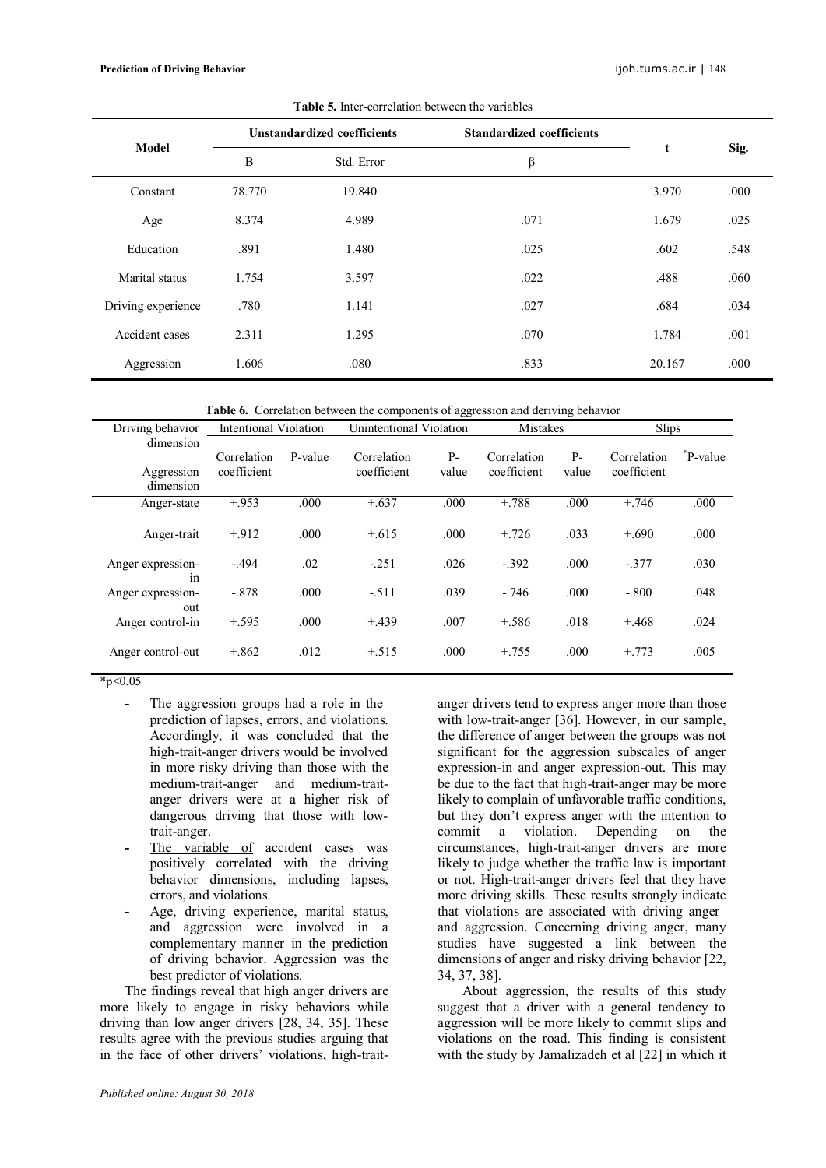#### **Prediction of Driving Behavior** ijoh.tums.ac.ir | 148

| Model              |        | <b>Unstandardized coefficients</b> | <b>Standardized coefficients</b> |        |      |
|--------------------|--------|------------------------------------|----------------------------------|--------|------|
|                    | B      | Std. Error                         | β                                | t      | Sig. |
| Constant           | 78.770 | 19.840                             |                                  | 3.970  | .000 |
| Age                | 8.374  | 4.989                              | .071                             | 1.679  | .025 |
| Education          | .891   | 1.480                              | .025                             | .602   | .548 |
| Marital status     | 1.754  | 3.597                              | .022                             | .488   | .060 |
| Driving experience | .780   | 1.141                              | .027                             | .684   | .034 |
| Accident cases     | 2.311  | 1.295                              | .070                             | 1.784  | .001 |
| Aggression         | 1.606  | .080                               | .833                             | 20.167 | .000 |
|                    |        |                                    |                                  |        |      |

**Table 5.** Inter-correlation between the variables

**Table 6.** Correlation between the components of aggression and deriving behavior

| Driving behavior                     | Intentional Violation      |         | Unintentional Violation    |               | Mistakes                   |               | <b>Slips</b>               |              |
|--------------------------------------|----------------------------|---------|----------------------------|---------------|----------------------------|---------------|----------------------------|--------------|
| dimension<br>Aggression<br>dimension | Correlation<br>coefficient | P-value | Correlation<br>coefficient | $P-$<br>value | Correlation<br>coefficient | $P-$<br>value | Correlation<br>coefficient | $^*$ P-value |
| Anger-state                          | $+.953$                    | .000    | $+.637$                    | .000          | $+.788$                    | .000          | $+.746$                    | .000         |
| Anger-trait                          | $+912$                     | .000    | $+.615$                    | .000          | $+.726$                    | .033          | $+.690$                    | .000         |
| Anger expression-<br>1n              | $-494$                     | .02     | $-251$                     | .026          | $-.392$                    | .000          | $-.377$                    | .030         |
| Anger expression-<br>out             | $-.878$                    | .000    | $-.511$                    | .039          | $-746$                     | .000          | $-.800$                    | .048         |
| Anger control-in                     | $+.595$                    | .000    | $+.439$                    | .007          | $+.586$                    | .018          | $+.468$                    | .024         |
| Anger control-out                    | $+.862$                    | .012    | $+.515$                    | .000          | $+.755$                    | .000          | $+773$                     | .005         |

 $*_{p<0.05}$ 

- **-** The aggression groups had a role in the prediction of lapses, errors, and violations. Accordingly, it was concluded that the high-trait-anger drivers would be involved in more risky driving than those with the medium-trait-anger and medium-traitanger drivers were at a higher risk of dangerous driving that those with lowtrait-anger.
- The variable of accident cases was positively correlated with the driving behavior dimensions, including lapses, errors, and violations.
- **-** Age, driving experience, marital status, and aggression were involved in a complementary manner in the prediction of driving behavior. Aggression was the best predictor of violations.

The findings reveal that high anger drivers are more likely to engage in risky behaviors while driving than low anger drivers [28, 34, 35]. These results agree with the previous studies arguing that in the face of other drivers' violations, high-traitanger drivers tend to express anger more than those with low-trait-anger [36]. However, in our sample, the difference of anger between the groups was not significant for the aggression subscales of anger expression-in and anger expression-out. This may be due to the fact that high-trait-anger may be more likely to complain of unfavorable traffic conditions, but they don't express anger with the intention to commit a violation. Depending on the circumstances, high-trait-anger drivers are more likely to judge whether the traffic law is important or not. High-trait-anger drivers feel that they have more driving skills. These results strongly indicate that violations are associated with driving anger and aggression. Concerning driving anger, many studies have suggested a link between the dimensions of anger and risky driving behavior [22, 34, 37, 38].

About aggression, the results of this study suggest that a driver with a general tendency to aggression will be more likely to commit slips and violations on the road. This finding is consistent with the study by Jamalizadeh et al [22] in which it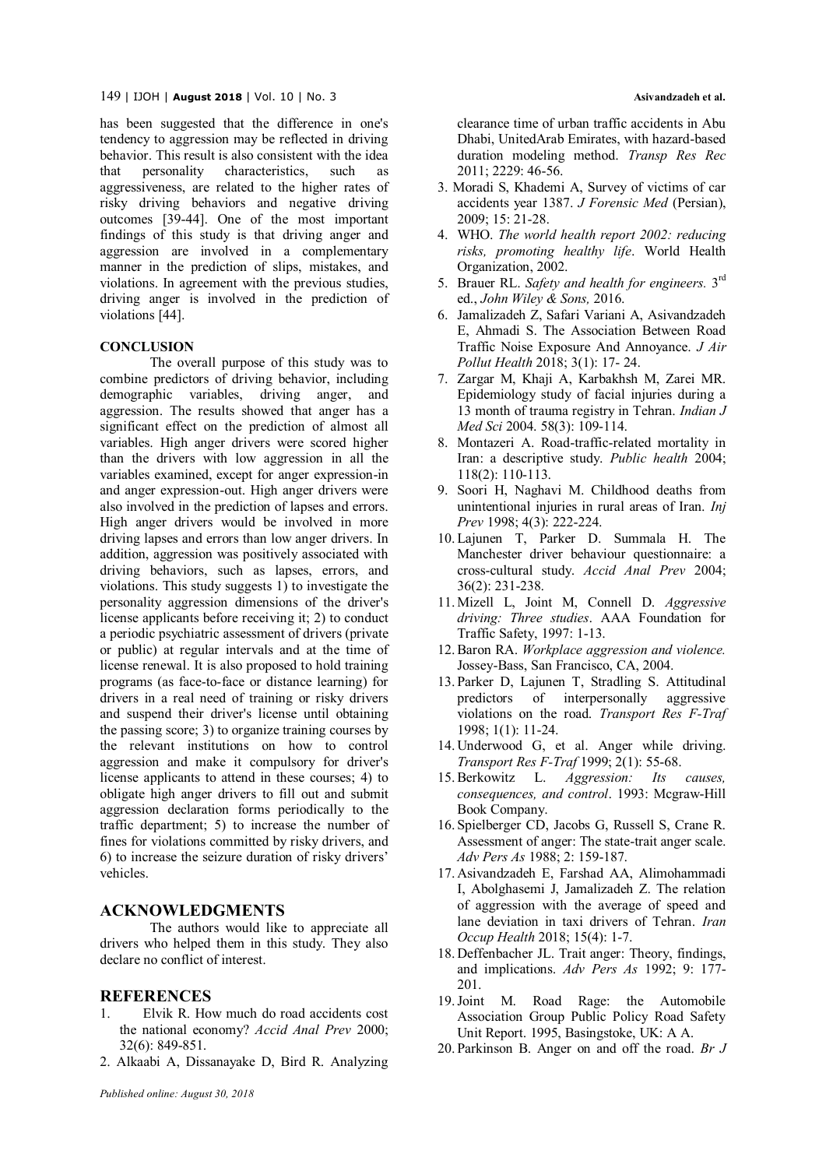#### 149 | IJOH | **August <sup>2018</sup>**| Vol. 10 | No. 3 **Asivandzadeh et al.**

has been suggested that the difference in one's tendency to aggression may be reflected in driving behavior. This result is also consistent with the idea that personality characteristics, such as aggressiveness, are related to the higher rates of risky driving behaviors and negative driving outcomes [39-44]. One of the most important findings of this study is that driving anger and aggression are involved in a complementary manner in the prediction of slips, mistakes, and violations. In agreement with the previous studies, driving anger is involved in the prediction of violations [44].

## **CONCLUSION**

The overall purpose of this study was to combine predictors of driving behavior, including demographic variables, driving anger, and aggression. The results showed that anger has a significant effect on the prediction of almost all variables. High anger drivers were scored higher than the drivers with low aggression in all the variables examined, except for anger expression-in and anger expression-out. High anger drivers were also involved in the prediction of lapses and errors. High anger drivers would be involved in more driving lapses and errors than low anger drivers. In addition, aggression was positively associated with driving behaviors, such as lapses, errors, and violations. This study suggests 1) to investigate the personality aggression dimensions of the driver's license applicants before receiving it; 2) to conduct a periodic psychiatric assessment of drivers (private or public) at regular intervals and at the time of license renewal. It is also proposed to hold training programs (as face-to-face or distance learning) for drivers in a real need of training or risky drivers and suspend their driver's license until obtaining the passing score; 3) to organize training courses by the relevant institutions on how to control aggression and make it compulsory for driver's license applicants to attend in these courses; 4) to obligate high anger drivers to fill out and submit aggression declaration forms periodically to the traffic department; 5) to increase the number of fines for violations committed by risky drivers, and 6) to increase the seizure duration of risky drivers' vehicles.

## **ACKNOWLEDGMENTS**

The authors would like to appreciate all drivers who helped them in this study. They also declare no conflict of interest.

## **REFERENCES**

- 1. Elvik R. How much do road accidents cost the national economy? *Accid Anal Prev* 2000; 32(6): 849-851.
- 2. Alkaabi A, Dissanayake D, Bird R. Analyzing

clearance time of urban traffic accidents in Abu Dhabi, UnitedArab Emirates, with hazard-based duration modeling method. *Transp Res Rec* 2011; 2229: 46-56.

- 3. Moradi S, Khademi A, Survey of victims of car accidents year 1387. *J Forensic Med* (Persian), 2009; 15: 21-28.
- 4. WHO. *The world health report 2002: reducing risks, promoting healthy life*. World Health Organization, 2002.
- 5. Brauer RL. Safety and health for engineers. 3<sup>rd</sup> ed., *John Wiley & Sons,* 2016.
- 6. Jamalizadeh Z, Safari Variani A, Asivandzadeh E, Ahmadi S. The Association Between Road Traffic Noise Exposure And Annoyance. *J Air Pollut Health* 2018; 3(1): 17- 24.
- 7. Zargar M, Khaji A, Karbakhsh M, Zarei MR. Epidemiology study of facial injuries during a 13 month of trauma registry in Tehran. *Indian J Med Sci* 2004. 58(3): 109-114.
- 8. Montazeri A. Road-traffic-related mortality in Iran: a descriptive study. *Public health* 2004; 118(2): 110-113.
- 9. Soori H, Naghavi M. Childhood deaths from unintentional injuries in rural areas of Iran. *Inj Prev* 1998; 4(3): 222-224.
- 10. Lajunen T, Parker D. Summala H. The Manchester driver behaviour questionnaire: a cross-cultural study. *Accid Anal Prev* 2004; 36(2): 231-238.
- 11. Mizell L, Joint M, Connell D. *Aggressive driving: Three studies*. AAA Foundation for Traffic Safety, 1997: 1-13.
- 12.Baron RA. *Workplace aggression and violence.* Jossey-Bass, San Francisco, CA, 2004.
- 13. Parker D, Lajunen T, Stradling S. Attitudinal predictors of interpersonally aggressive violations on the road. *Transport Res F-Traf* 1998; 1(1): 11-24.
- 14. Underwood G, et al. Anger while driving. *Transport Res F-Traf* 1999; 2(1): 55-68.
- 15.Berkowitz L. *Aggression: Its causes, consequences, and control*. 1993: Mcgraw-Hill Book Company.
- 16. Spielberger CD, Jacobs G, Russell S, Crane R. Assessment of anger: The state-trait anger scale. *Adv Pers As* 1988; 2: 159-187.
- 17. Asivandzadeh E, Farshad AA, Alimohammadi I, Abolghasemi J, Jamalizadeh Z. The relation of aggression with the average of speed and lane deviation in taxi drivers of Tehran. *Iran Occup Health* 2018; 15(4): 1-7.
- 18. Deffenbacher JL. Trait anger: Theory, findings, and implications. *Adv Pers As* 1992; 9: 177- 201.
- 19.Joint M. Road Rage: the Automobile Association Group Public Policy Road Safety Unit Report. 1995, Basingstoke, UK: A A.
- 20. Parkinson B. Anger on and off the road. *Br J*